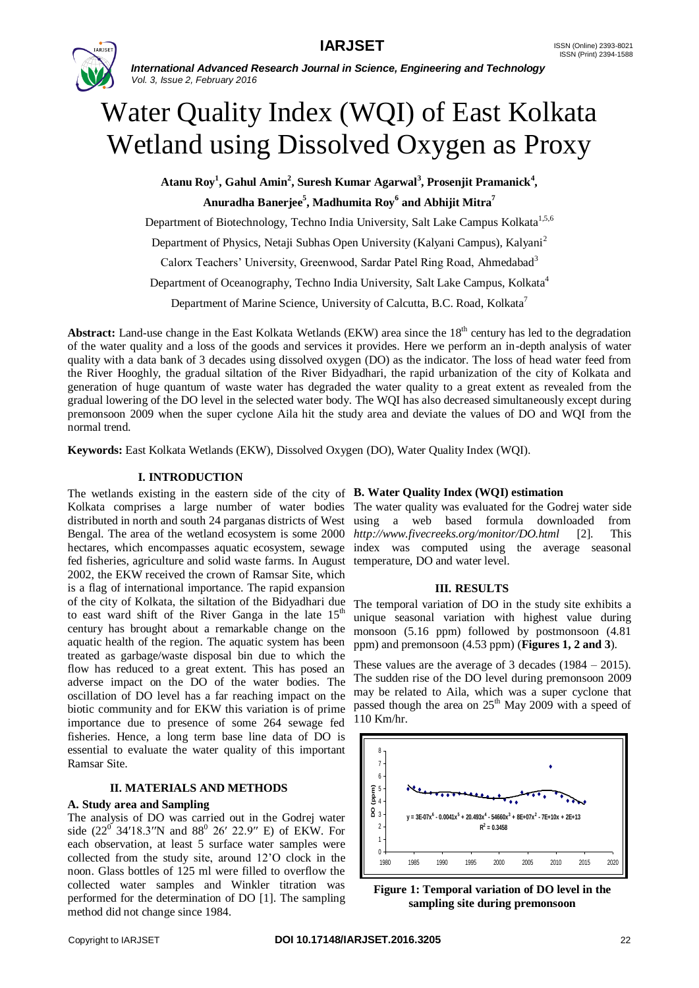

*International Advanced Research Journal in Science, Engineering and Technology Vol. 3, Issue 2, February 2016*

# Water Quality Index (WQI) of East Kolkata Wetland using Dissolved Oxygen as Proxy

**Atanu Roy<sup>1</sup> , Gahul Amin<sup>2</sup> , Suresh Kumar Agarwal<sup>3</sup> , Prosenjit Pramanick<sup>4</sup> ,** 

**Anuradha Banerjee<sup>5</sup> , Madhumita Roy<sup>6</sup> and Abhijit Mitra<sup>7</sup>**

Department of Biotechnology, Techno India University, Salt Lake Campus Kolkata<sup>1,5,6</sup>

Department of Physics, Netaji Subhas Open University (Kalyani Campus), Kalyani<sup>2</sup>

Calorx Teachers' University, Greenwood, Sardar Patel Ring Road, Ahmedabad<sup>3</sup>

Department of Oceanography, Techno India University, Salt Lake Campus, Kolkata<sup>4</sup>

Department of Marine Science, University of Calcutta, B.C. Road, Kolkata<sup>7</sup>

Abstract: Land-use change in the East Kolkata Wetlands (EKW) area since the 18<sup>th</sup> century has led to the degradation of the water quality and a loss of the goods and services it provides. Here we perform an in-depth analysis of water quality with a data bank of 3 decades using dissolved oxygen (DO) as the indicator. The loss of head water feed from the River Hooghly, the gradual siltation of the River Bidyadhari, the rapid urbanization of the city of Kolkata and generation of huge quantum of waste water has degraded the water quality to a great extent as revealed from the gradual lowering of the DO level in the selected water body. The WQI has also decreased simultaneously except during premonsoon 2009 when the super cyclone Aila hit the study area and deviate the values of DO and WQI from the normal trend.

**Keywords:** East Kolkata Wetlands (EKW), Dissolved Oxygen (DO), Water Quality Index (WQI).

# **I. INTRODUCTION**

The wetlands existing in the eastern side of the city of **B. Water Quality Index (WQI) estimation** Kolkata comprises a large number of water bodies The water quality was evaluated for the Godrej water side distributed in north and south 24 parganas districts of West using a web based formula downloaded from Bengal. The area of the wetland ecosystem is some 2000 *http://www.fivecreeks.org/monitor/DO.html* [2]. This hectares, which encompasses aquatic ecosystem, sewage index was computed using the average seasonal fed fisheries, agriculture and solid waste farms. In August temperature, DO and water level. 2002, the EKW received the crown of Ramsar Site, which is a flag of international importance. The rapid expansion of the city of Kolkata, the siltation of the Bidyadhari due to east ward shift of the River Ganga in the late  $15<sup>th</sup>$ century has brought about a remarkable change on the aquatic health of the region. The aquatic system has been treated as garbage/waste disposal bin due to which the flow has reduced to a great extent. This has posed an adverse impact on the DO of the water bodies. The oscillation of DO level has a far reaching impact on the biotic community and for EKW this variation is of prime importance due to presence of some 264 sewage fed fisheries. Hence, a long term base line data of DO is essential to evaluate the water quality of this important Ramsar Site.

# **II. MATERIALS AND METHODS**

# **A. Study area and Sampling**

The analysis of DO was carried out in the Godrej water side  $(22^0 \text{ 34'}18.3''N \text{ and } 88^0 \text{ 26'} 22.9'' \text{ E})$  of EKW. For each observation, at least 5 surface water samples were collected from the study site, around 12'O clock in the noon. Glass bottles of 125 ml were filled to overflow the collected water samples and Winkler titration was performed for the determination of DO [1]. The sampling method did not change since 1984.

# **III. RESULTS**

The temporal variation of DO in the study site exhibits a unique seasonal variation with highest value during monsoon (5.16 ppm) followed by postmonsoon (4.81 ppm) and premonsoon (4.53 ppm) (**Figures 1, 2 and 3**).

These values are the average of 3 decades (1984 – 2015). The sudden rise of the DO level during premonsoon 2009 may be related to Aila, which was a super cyclone that passed though the area on  $25<sup>th</sup>$  May 2009 with a speed of 110 Km/hr.



**Figure 1: Temporal variation of DO level in the sampling site during premonsoon**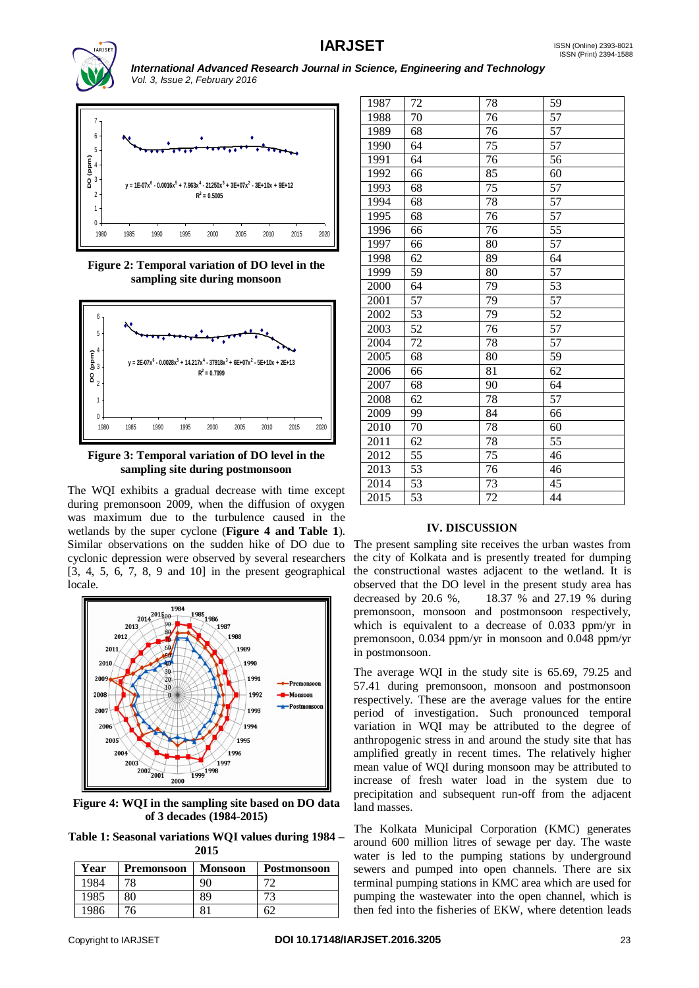

*International Advanced Research Journal in Science, Engineering and Technology Vol. 3, Issue 2, February 2016*



**Figure 2: Temporal variation of DO level in the sampling site during monsoon**



**Figure 3: Temporal variation of DO level in the sampling site during postmonsoon**

The WQI exhibits a gradual decrease with time except during premonsoon 2009, when the diffusion of oxygen was maximum due to the turbulence caused in the wetlands by the super cyclone (**Figure 4 and Table 1**). Similar observations on the sudden hike of DO due to cyclonic depression were observed by several researchers [3, 4, 5, 6, 7, 8, 9 and 10] in the present geographical locale.



**Figure 4: WQI in the sampling site based on DO data of 3 decades (1984-2015)**

**Table 1: Seasonal variations WQI values during 1984 – 2015**

| Year | <b>Premonsoon</b> | <b>Monsoon</b> | Postmonsoon |
|------|-------------------|----------------|-------------|
| 1984 | 78                | 90             |             |
| 1985 | 80                | 89             |             |
| 1986 |                   |                |             |

| 1987 | 72 | 78              | 59              |
|------|----|-----------------|-----------------|
| 1988 | 70 | 76              | 57              |
| 1989 | 68 | 76              | $\overline{57}$ |
| 1990 | 64 | 75              | 57              |
| 1991 | 64 | 76              | 56              |
| 1992 | 66 | $\overline{85}$ | 60              |
| 1993 | 68 | 75              | 57              |
| 1994 | 68 | 78              | $\overline{57}$ |
| 1995 | 68 | 76              | 57              |
| 1996 | 66 | 76              | $\overline{55}$ |
| 1997 | 66 | 80              | 57              |
| 1998 | 62 | 89              | 64              |
| 1999 | 59 | 80              | 57              |
| 2000 | 64 | 79              | $\overline{53}$ |
| 2001 | 57 | 79              | 57              |
| 2002 | 53 | 79              | 52              |
| 2003 | 52 | 76              | 57              |
| 2004 | 72 | 78              | 57              |
| 2005 | 68 | 80              | $\overline{59}$ |
| 2006 | 66 | 81              | 62              |
| 2007 | 68 | 90              | 64              |
| 2008 | 62 | 78              | 57              |
| 2009 | 99 | 84              | 66              |
| 2010 | 70 | 78              | 60              |
| 2011 | 62 | 78              | 55              |
| 2012 | 55 | 75              | 46              |
| 2013 | 53 | 76              | 46              |
| 2014 | 53 | 73              | 45              |
| 2015 | 53 | 72              | 44              |

# **IV. DISCUSSION**

The present sampling site receives the urban wastes from the city of Kolkata and is presently treated for dumping the constructional wastes adjacent to the wetland. It is observed that the DO level in the present study area has decreased by 20.6 %, 18.37 % and 27.19 % during premonsoon, monsoon and postmonsoon respectively, which is equivalent to a decrease of 0.033 ppm/yr in premonsoon, 0.034 ppm/yr in monsoon and 0.048 ppm/yr in postmonsoon.

The average WQI in the study site is 65.69, 79.25 and 57.41 during premonsoon, monsoon and postmonsoon respectively. These are the average values for the entire period of investigation. Such pronounced temporal variation in WQI may be attributed to the degree of anthropogenic stress in and around the study site that has amplified greatly in recent times. The relatively higher mean value of WQI during monsoon may be attributed to increase of fresh water load in the system due to precipitation and subsequent run-off from the adjacent land masses.

The Kolkata Municipal Corporation (KMC) generates around 600 million litres of sewage per day. The waste water is led to the pumping stations by underground sewers and pumped into open channels. There are six terminal pumping stations in KMC area which are used for pumping the wastewater into the open channel, which is then fed into the fisheries of EKW, where detention leads